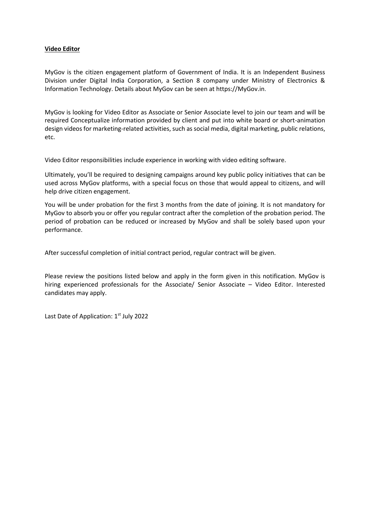### **Video Editor**

MyGov is the citizen engagement platform of Government of India. It is an Independent Business Division under Digital India Corporation, a Section 8 company under Ministry of Electronics & Information Technology. Details about MyGov can be seen at https://MyGov.in.

MyGov is looking for Video Editor as Associate or Senior Associate level to join our team and will be required Conceptualize information provided by client and put into white board or short-animation design videos for marketing-related activities, such as social media, digital marketing, public relations, etc.

Video Editor responsibilities include experience in working with video editing software.

Ultimately, you'll be required to designing campaigns around key public policy initiatives that can be used across MyGov platforms, with a special focus on those that would appeal to citizens, and will help drive citizen engagement.

You will be under probation for the first 3 months from the date of joining. It is not mandatory for MyGov to absorb you or offer you regular contract after the completion of the probation period. The period of probation can be reduced or increased by MyGov and shall be solely based upon your performance.

After successful completion of initial contract period, regular contract will be given.

Please review the positions listed below and apply in the form given in this notification. MyGov is hiring experienced professionals for the Associate/ Senior Associate – Video Editor. Interested candidates may apply.

Last Date of Application: 1<sup>st</sup> July 2022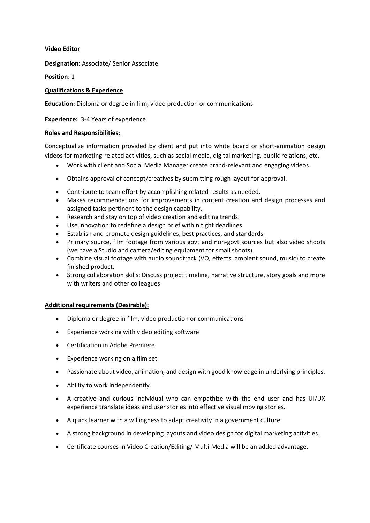# **Video Editor**

**Designation:** Associate/ Senior Associate

**Position**: 1

# **Qualifications & Experience**

**Education:** Diploma or degree in film, video production or communications

## **Experience:** 3-4 Years of experience

## **Roles and Responsibilities:**

Conceptualize information provided by client and put into white board or short-animation design videos for marketing-related activities, such as social media, digital marketing, public relations, etc.

- Work with client and Social Media Manager create brand-relevant and engaging videos.
- Obtains approval of concept/creatives by submitting rough layout for approval.
- Contribute to team effort by accomplishing related results as needed.
- Makes recommendations for improvements in content creation and design processes and assigned tasks pertinent to the design capability.
- Research and stay on top of video creation and editing trends.
- Use innovation to redefine a design brief within tight deadlines
- Establish and promote design guidelines, best practices, and standards
- Primary source, film footage from various govt and non-govt sources but also video shoots (we have a Studio and camera/editing equipment for small shoots).
- Combine visual footage with audio soundtrack (VO, effects, ambient sound, music) to create finished product.
- Strong collaboration skills: Discuss project timeline, narrative structure, story goals and more with writers and other colleagues

# **Additional requirements (Desirable):**

- Diploma or degree in film, video production or communications
- Experience working with video editing software
- Certification in Adobe Premiere
- Experience working on a film set
- Passionate about video, animation, and design with good knowledge in underlying principles.
- Ability to work independently.
- A creative and curious individual who can empathize with the end user and has UI/UX experience translate ideas and user stories into effective visual moving stories.
- A quick learner with a willingness to adapt creativity in a government culture.
- A strong background in developing layouts and video design for digital marketing activities.
- Certificate courses in Video Creation/Editing/ Multi-Media will be an added advantage.